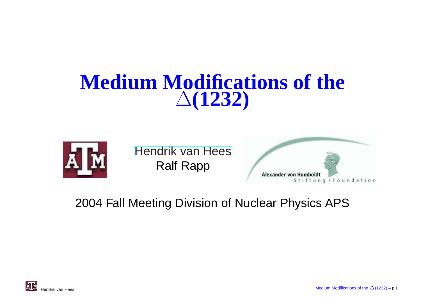#### **Medium Modifications of the**∆**(1232)**



[Hendrik](http://theory.gsi.de/~vanhees/) van HeesRalf Rapp



2004 Fall Meeting Division of Nuclear Physics APS

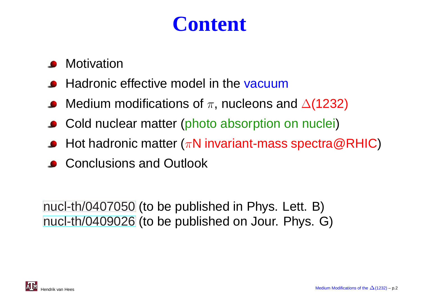# **Content**

- **Motivation**
- Hadronic effective model in the <mark>vacuum</mark>
- Medium modifications of  $\pi,$  nucleons and  $\Delta(1232)$
- Cold nuclear matter (photo absorption on nuclei)
- Hot hadronic matter ( $\pi$ N invariant-mass spectra@RHIC)
- **Conclusions and Outlook**

[nucl](http://arxiv.org/abs/nucl-th/0407050)-[th/04070](http://arxiv.org/abs/nucl-th/0407050)50 (to be published in Phys. Lett. B) [nucl](http://arxiv.org/abs/nucl-th/0409026)-[th/04090](http://arxiv.org/abs/nucl-th/0409026)26 (to be published on Jour. Phys. G)

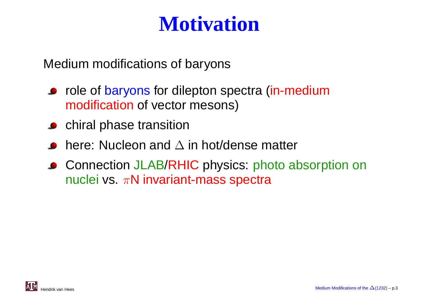# **Motivation**

Medium modifications of baryons

- role of baryons for dilepton spectra (in-medium modification of vector mesons)
- **C** chiral phase transition
- here: Nucleon and  $\Delta$  in hot/dense matter
- Connection JLAB/RHIC physics: photo absorption on nuclei vs.  $\pi\mathsf{N}$  invariant-mass spectra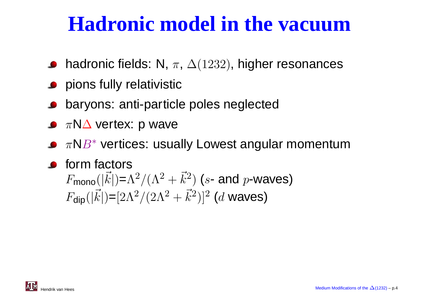# **Hadronic model in the vacuum**

- hadronic fields: N,  $\pi$ ,  $\Delta(1232)$ , higher resonances
- **P** pions fully relativistic
- baryons: anti-particle poles neglected
- $\pi$ N $\Delta$  vertex: p wave
- $\pi$ N $B^*$  vertices: usually Lowest angular momentum
- **o** form factors  $F_{\textsf{mono}}(|\vec{k}|)$ = $\Lambda^2/(\Lambda^2+\vec{k}^2)$  (s- and p-waves)  $F_{\sf dip}(|\vec{k}|){=}[2\Lambda^2/(2\Lambda^2+\vec{k}^2)]^2$  (d waves)

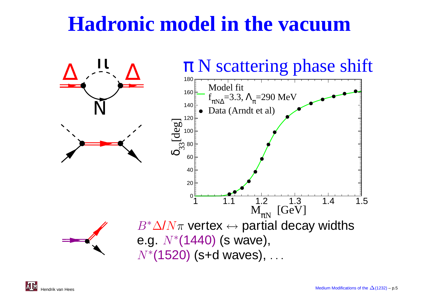# **Hadronic model in the vacuum**

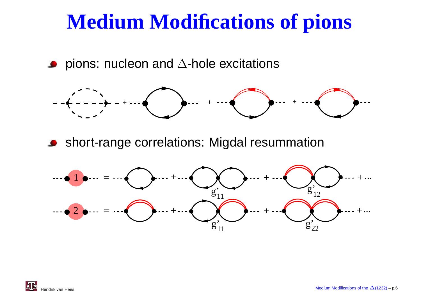# **Medium Modifications of pions**

pions: nucleon and  $\Delta$ -hole excitations



**Short-range correlations: Migdal resummation** 



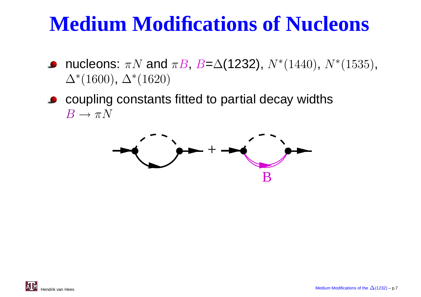# **Medium Modifications of Nucleons**

- nucleons:  $\pi N$  and  $\pi B$ ,  $B=Δ(1232)$ ,  $N^*(1440)$ ,  $N^*(1535)$ ,<br> $\Lambda^*(1600)$  ,  $\Lambda^*(1690)$  $\Delta^*(1600)$ ,  $\Delta^*(1620)$
- coupling constants fitted to partial decay widths $B \to \pi N$



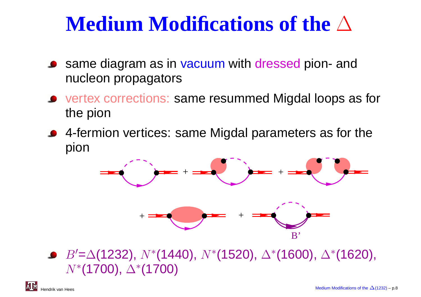# **Medium Modifications of the** <sup>∆</sup>

- same diagram as in vacuum with dressed pion- and<br>pucloon propagators nucleon propagators
- vertex corrections: same resummed Migdal loops as forthe pion
- 4-fermion vertices: same Migdal parameters as for thepion



 $B' {=} \Delta(1232),\, N{*} (1440),\, N{*} (1520),\, \Delta{*} (1600),\, \Delta{*} (1620),$  $N^*($ **1700)**,  $\Delta^*($ **1700)**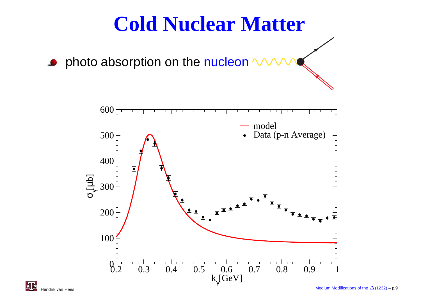## **Cold Nuclear Matter**

photo absorption on the <mark>nucleon</mark>

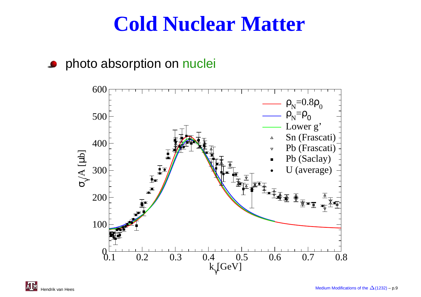### **Cold Nuclear Matter**

#### photo absorption on <mark>nucle</mark>i  $\bullet$

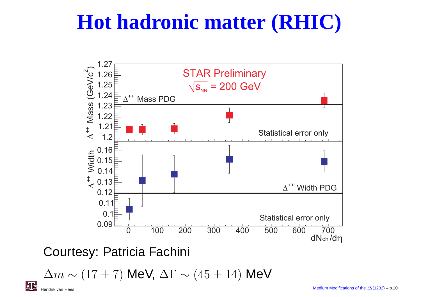# **Hot hadronic matter (RHIC)**



Courtesy: Patricia Fachini

 $\Delta m \sim (17 \pm 7)$  MeV,  $\Delta \Gamma \sim (45 \pm 14)$  MeV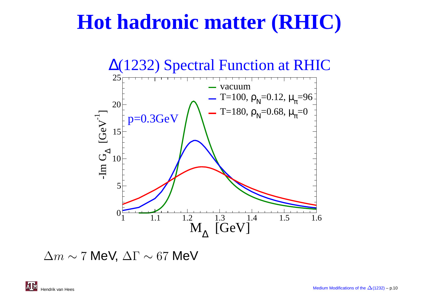# **Hot hadronic matter (RHIC)**



 $\Delta m \sim 7$  MeV,  $\Delta \Gamma \sim 67$  MeV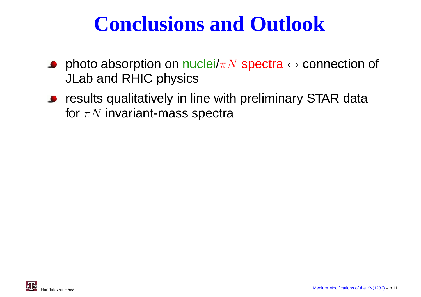# **Conclusions and Outlook**

- photo absorption on nuclei/ $\pi N$  spectra  $\leftrightarrow$  connection of<br>.II ah and RHIC physics JLab and RHIC physics
- **•** results qualitatively in line with preliminary STAR data for  $\pi N$  invariant-mass spectra